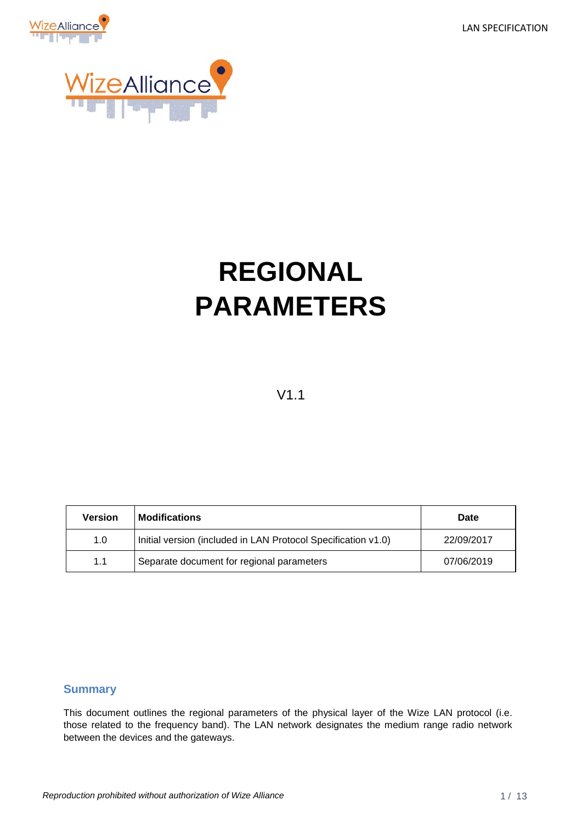LAN SPECIFICATION





# **REGIONAL PARAMETERS**

### V1.1

| <b>Version</b> | <b>Modifications</b>                                          | Date       |
|----------------|---------------------------------------------------------------|------------|
| 1.0            | Initial version (included in LAN Protocol Specification v1.0) | 22/09/2017 |
| 1.1            | Separate document for regional parameters                     | 07/06/2019 |

#### <span id="page-0-0"></span>**Summary**

This document outlines the regional parameters of the physical layer of the Wize LAN protocol (i.e. those related to the frequency band). The LAN network designates the medium range radio network between the devices and the gateways.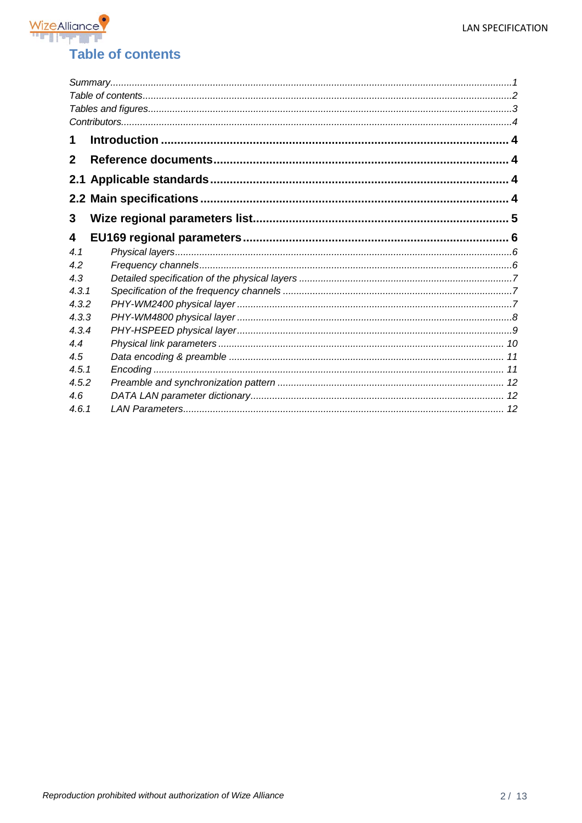

<span id="page-1-0"></span>

| 1            |  |
|--------------|--|
| $\mathbf{2}$ |  |
|              |  |
|              |  |
| 3            |  |
| 4            |  |
| 4.1          |  |
| 4.2          |  |
| 4.3          |  |
| 4.3.1        |  |
| 4.3.2        |  |
| 4.3.3        |  |
| 4.3.4        |  |
| 4.4          |  |
| 4.5          |  |
| 4.5.1        |  |
| 4.5.2        |  |
| 4.6          |  |
| 4.6.1        |  |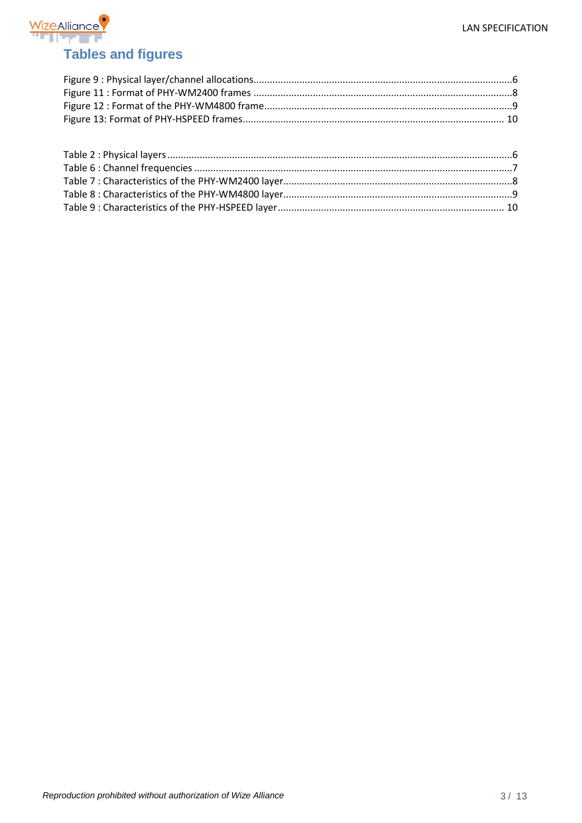

<span id="page-2-0"></span>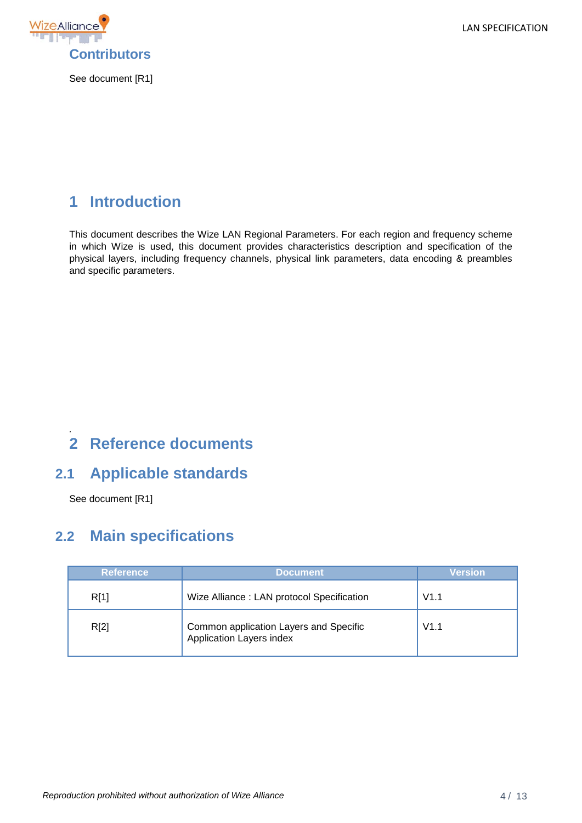LAN SPECIFICATION



<span id="page-3-0"></span>See document [R1]

# <span id="page-3-1"></span>**1 Introduction**

This document describes the Wize LAN Regional Parameters. For each region and frequency scheme in which Wize is used, this document provides characteristics description and specification of the physical layers, including frequency channels, physical link parameters, data encoding & preambles and specific parameters.

#### <span id="page-3-2"></span>*.* **2 Reference documents**

# <span id="page-3-3"></span>**2.1 Applicable standards**

See document [R1]

# <span id="page-3-4"></span>**2.2 Main specifications**

| <b>Reference</b> | <b>Document</b>                                                    | Version |  |
|------------------|--------------------------------------------------------------------|---------|--|
| R[1]             | Wize Alliance: LAN protocol Specification                          | V1.1    |  |
| R[2]             | Common application Layers and Specific<br>Application Layers index | V1.1    |  |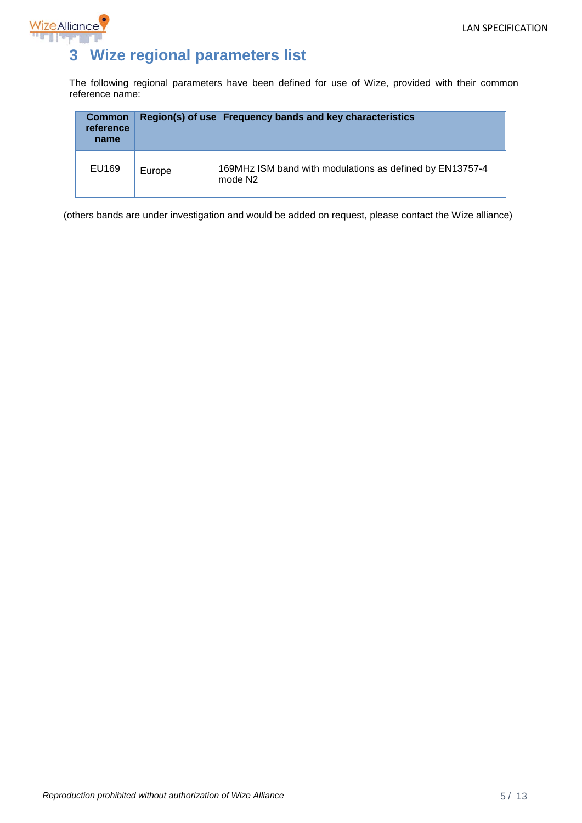

# <span id="page-4-0"></span>**3 Wize regional parameters list**

The following regional parameters have been defined for use of Wize, provided with their common reference name:

| <b>Common</b><br>reference<br>name |        | Region(s) of use Frequency bands and key characteristics                        |
|------------------------------------|--------|---------------------------------------------------------------------------------|
| EU169                              | Europe | 169MHz ISM band with modulations as defined by EN13757-4<br>mode N <sub>2</sub> |

(others bands are under investigation and would be added on request, please contact the Wize alliance)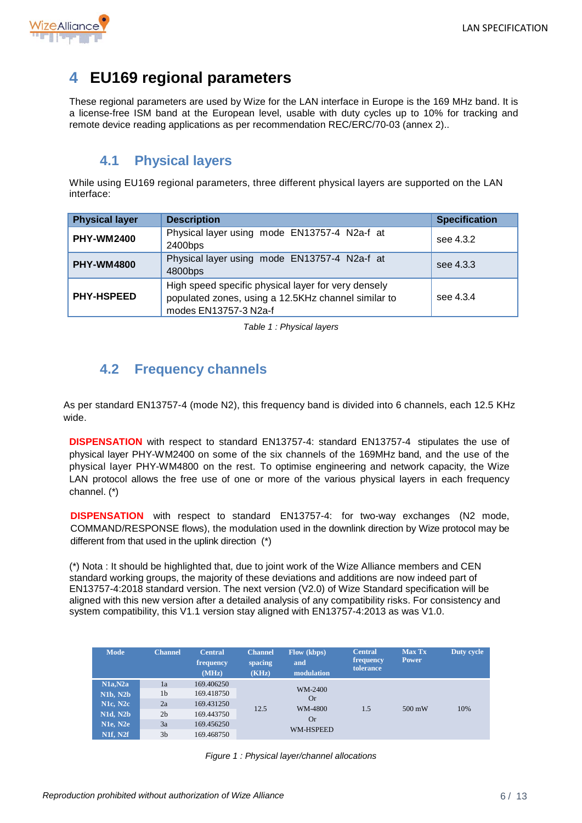

# <span id="page-5-0"></span>**4 EU169 regional parameters**

These regional parameters are used by Wize for the LAN interface in Europe is the 169 MHz band. It is a license-free ISM band at the European level, usable with duty cycles up to 10% for tracking and remote device reading applications as per recommendation REC/ERC/70-03 (annex 2)..

### **4.1 Physical layers**

<span id="page-5-1"></span>While using EU169 regional parameters, three different physical layers are supported on the LAN interface:

| <b>Physical layer</b> | <b>Description</b>                                                                                                                  | <b>Specification</b> |
|-----------------------|-------------------------------------------------------------------------------------------------------------------------------------|----------------------|
| <b>PHY-WM2400</b>     | Physical layer using mode EN13757-4 N2a-f at<br>2400bps                                                                             | see 4.3.2            |
| <b>PHY-WM4800</b>     | Physical layer using mode EN13757-4 N2a-f at<br>4800bps                                                                             | see 4.3.3            |
| <b>PHY-HSPEED</b>     | High speed specific physical layer for very densely<br>populated zones, using a 12.5KHz channel similar to<br>modes EN13757-3 N2a-f | see 4.3.4            |

*Table 1 : Physical layers*

# <span id="page-5-4"></span><span id="page-5-2"></span>**4.2 Frequency channels**

As per standard EN13757-4 (mode N2), this frequency band is divided into 6 channels, each 12.5 KHz wide.

**DISPENSATION** with respect to standard EN13757-4: standard EN13757-4 stipulates the use of physical layer PHY-WM2400 on some of the six channels of the 169MHz band, and the use of the physical layer PHY-WM4800 on the rest. To optimise engineering and network capacity, the Wize LAN protocol allows the free use of one or more of the various physical layers in each frequency channel. (\*)

**DISPENSATION** with respect to standard EN13757-4: for two-way exchanges (N2 mode, COMMAND/RESPONSE flows), the modulation used in the downlink direction by Wize protocol may be different from that used in the uplink direction (\*)

(\*) Nota : It should be highlighted that, due to joint work of the Wize Alliance members and CEN standard working groups, the majority of these deviations and additions are now indeed part of EN13757-4:2018 standard version. The next version (V2.0) of Wize Standard specification will be aligned with this new version after a detailed analysis of any compatibility risks. For consistency and system compatibility, this V1.1 version stay aligned with EN13757-4:2013 as was V1.0.

<span id="page-5-3"></span>

| <b>Mode</b>                                                                                            | <b>Channel</b>                                                       | <b>Central</b><br>frequency<br>(MHz)                                             | <b>Channel</b><br>spacing<br>(KHz) | Flow (kbps)<br>and<br>modulation                                 | <b>Central</b><br>frequency<br>tolerance | <b>Max Tx</b><br><b>Power</b> | Duty cycle |
|--------------------------------------------------------------------------------------------------------|----------------------------------------------------------------------|----------------------------------------------------------------------------------|------------------------------------|------------------------------------------------------------------|------------------------------------------|-------------------------------|------------|
| N1a,N2a<br><b>N1b, N2b</b><br><b>N1c, N2c</b><br><b>N1d, N2b</b><br><b>N1e, N2e</b><br><b>N1f. N2f</b> | 1a<br>1 <sub>b</sub><br>2a<br>2 <sub>b</sub><br>3a<br>3 <sub>b</sub> | 169.406250<br>169.418750<br>169.431250<br>169.443750<br>169.456250<br>169.468750 | 12.5                               | WM-2400<br><b>Or</b><br>WM-4800<br><b>Or</b><br><b>WM-HSPEED</b> | 1.5                                      | $500 \text{ mW}$              | 10%        |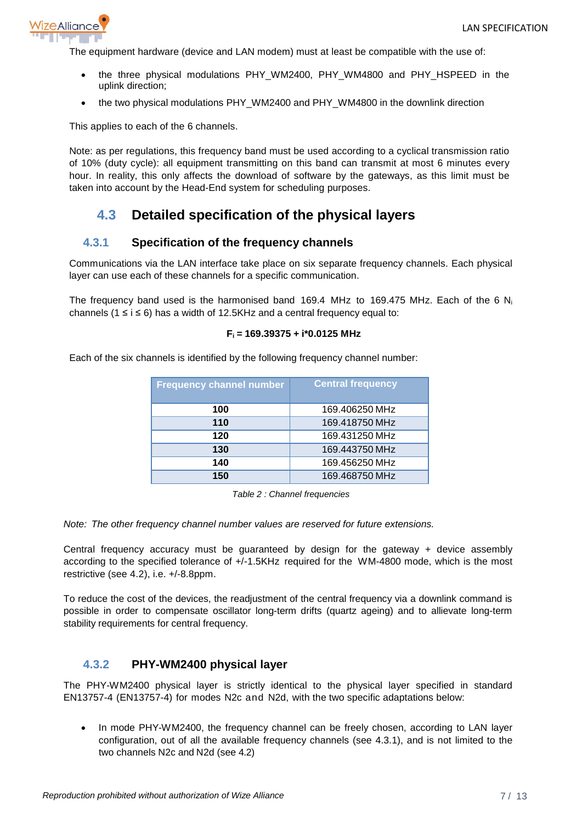

The equipment hardware (device and LAN modem) must at least be compatible with the use of:

- the three physical modulations PHY WM2400, PHY WM4800 and PHY HSPEED in the uplink direction;
- the two physical modulations PHY\_WM2400 and PHY\_WM4800 in the downlink direction

This applies to each of the 6 channels.

Note: as per regulations, this frequency band must be used according to a cyclical transmission ratio of 10% (duty cycle): all equipment transmitting on this band can transmit at most 6 minutes every hour. In reality, this only affects the download of software by the gateways, as this limit must be taken into account by the Head-End system for scheduling purposes.

# <span id="page-6-0"></span>**4.3 Detailed specification of the physical layers**

#### <span id="page-6-1"></span>**4.3.1 Specification of the frequency channels**

Communications via the LAN interface take place on six separate frequency channels. Each physical layer can use each of these channels for a specific communication.

The frequency band used is the harmonised band 169.4 MHz to 169.475 MHz. Each of the 6  $N_i$ channels ( $1 \le i \le 6$ ) has a width of 12.5KHz and a central frequency equal to:

#### **Fi = 169.39375 + i\*0.0125 MHz**

Each of the six channels is identified by the following frequency channel number:

| <b>Frequency channel number</b> | <b>Central frequency</b> |
|---------------------------------|--------------------------|
| 100                             | 169.406250 MHz           |
| 110                             | 169.418750 MHz           |
| 120                             | 169.431250 MHz           |
| 130                             | 169.443750 MHz           |
| 140                             | 169.456250 MHz           |
| 150                             | 169.468750 MHz           |

*Table 2 : Channel frequencies*

<span id="page-6-3"></span>*Note: The other frequency channel number values are reserved for future extensions.*

Central frequency accuracy must be guaranteed by design for the gateway + device assembly according to the specified tolerance of +/-1.5KHz required for the WM-4800 mode, which is the most restrictive (see [4.2\)](#page-5-2), i.e. +/-8.8ppm.

To reduce the cost of the devices, the readjustment of the central frequency via a downlink command is possible in order to compensate oscillator long-term drifts (quartz ageing) and to allievate long-term stability requirements for central frequency.

#### <span id="page-6-2"></span>**4.3.2 PHY-WM2400 physical layer**

The PHY-WM2400 physical layer is strictly identical to the physical layer specified in standard EN13757-4 (EN13757-4) for modes N2c and N2d, with the two specific adaptations below:

• In mode PHY-WM2400, the frequency channel can be freely chosen, according to LAN layer configuration, out of all the available frequency channels (see [4.3.1\)](#page-6-1), and is not limited to the two channels N2c and N2d (see [4.2\)](#page-5-2)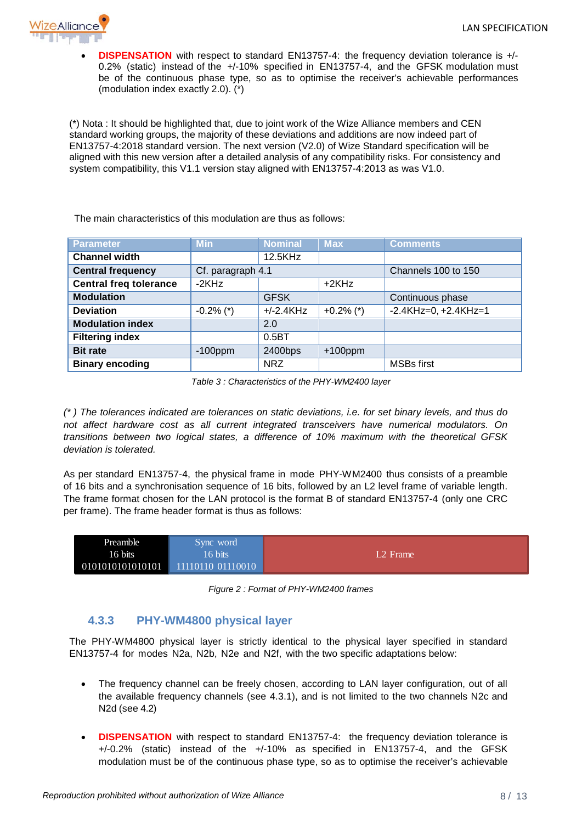

**DISPENSATION** with respect to standard EN13757-4: the frequency deviation tolerance is +/-0.2% (static) instead of the +/-10% specified in EN13757-4, and the GFSK modulation must be of the continuous phase type, so as to optimise the receiver's achievable performances (modulation index exactly 2.0). (\*)

(\*) Nota : It should be highlighted that, due to joint work of the Wize Alliance members and CEN standard working groups, the majority of these deviations and additions are now indeed part of EN13757-4:2018 standard version. The next version (V2.0) of Wize Standard specification will be aligned with this new version after a detailed analysis of any compatibility risks. For consistency and system compatibility, this V1.1 version stay aligned with EN13757-4:2013 as was V1.0.

The main characteristics of this modulation are thus as follows:

| <b>Parameter</b>              | <b>Min</b>        | <b>Nominal</b> | <b>Max</b>   | <b>Comments</b>            |
|-------------------------------|-------------------|----------------|--------------|----------------------------|
| <b>Channel width</b>          |                   | 12.5KHz        |              |                            |
| <b>Central frequency</b>      | Cf. paragraph 4.1 |                |              | Channels 100 to 150        |
| <b>Central freq tolerance</b> | $-2KHz$           |                | $+2KHz$      |                            |
| <b>Modulation</b>             |                   | <b>GFSK</b>    |              | Continuous phase           |
| <b>Deviation</b>              | $-0.2\%$ (*)      | $+/-2.4KHz$    | $+0.2\%$ (*) | $-2.4KHz = 0, +2.4KHz = 1$ |
| <b>Modulation index</b>       |                   | 2.0            |              |                            |
| <b>Filtering index</b>        |                   | $0.5B$ T       |              |                            |
| <b>Bit rate</b>               | $-100$ ppm        | 2400bps        | $+100$ ppm   |                            |
| <b>Binary encoding</b>        |                   | <b>NRZ</b>     |              | <b>MSBs first</b>          |

*Table 3 : Characteristics of the PHY-WM2400 layer*

<span id="page-7-2"></span>*(\* ) The tolerances indicated are tolerances on static deviations, i.e. for set binary levels, and thus do not affect hardware cost as all current integrated transceivers have numerical modulators. On transitions between two logical states, a difference of 10% maximum with the theoretical GFSK deviation is tolerated.* 

As per standard EN13757-4, the physical frame in mode PHY-WM2400 thus consists of a preamble of 16 bits and a synchronisation sequence of 16 bits, followed by an L2 level frame of variable length. The frame format chosen for the LAN protocol is the format B of standard EN13757-4 (only one CRC per frame). The frame header format is thus as follows:



*Figure 2 : Format of PHY-WM2400 frames*

#### <span id="page-7-1"></span>**4.3.3 PHY-WM4800 physical layer**

<span id="page-7-0"></span>The PHY-WM4800 physical layer is strictly identical to the physical layer specified in standard EN13757-4 for modes N2a, N2b, N2e and N2f, with the two specific adaptations below:

- The frequency channel can be freely chosen, according to LAN layer configuration, out of all the available frequency channels (see [4.3.1\)](#page-6-1), and is not limited to the two channels N2c and N2d (see [4.2\)](#page-5-2)
- **DISPENSATION** with respect to standard EN13757-4: the frequency deviation tolerance is +/-0.2% (static) instead of the +/-10% as specified in EN13757-4, and the GFSK modulation must be of the continuous phase type, so as to optimise the receiver's achievable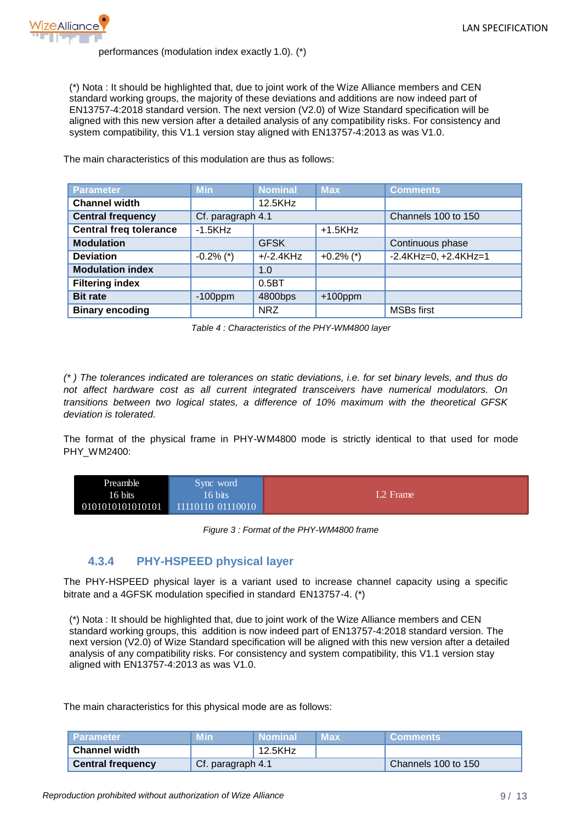

#### performances (modulation index exactly 1.0). (\*)

(\*) Nota : It should be highlighted that, due to joint work of the Wize Alliance members and CEN standard working groups, the majority of these deviations and additions are now indeed part of EN13757-4:2018 standard version. The next version (V2.0) of Wize Standard specification will be aligned with this new version after a detailed analysis of any compatibility risks. For consistency and system compatibility, this V1.1 version stay aligned with EN13757-4:2013 as was V1.0.

The main characteristics of this modulation are thus as follows:

| <b>Parameter</b>              | <b>Min</b>        | <b>Nominal</b> | <b>Max</b>   | <b>Comments</b>            |
|-------------------------------|-------------------|----------------|--------------|----------------------------|
| <b>Channel width</b>          |                   | 12.5KHz        |              |                            |
| <b>Central frequency</b>      | Cf. paragraph 4.1 |                |              | Channels 100 to 150        |
| <b>Central freq tolerance</b> | $-1.5KHz$         |                | $+1.5KHz$    |                            |
| <b>Modulation</b>             |                   | <b>GFSK</b>    |              | Continuous phase           |
| <b>Deviation</b>              | $-0.2\%$ (*)      | $+/-2.4$ KHz   | $+0.2\%$ (*) | $-2.4KHz = 0, +2.4KHz = 1$ |
| <b>Modulation index</b>       |                   | 1.0            |              |                            |
| <b>Filtering index</b>        |                   | $0.5B$ T       |              |                            |
| <b>Bit rate</b>               | $-100$ ppm        | 4800bps        | $+100$ ppm   |                            |
| <b>Binary encoding</b>        |                   | <b>NRZ</b>     |              | <b>MSBs first</b>          |

*Table 4 : Characteristics of the PHY-WM4800 layer*

<span id="page-8-2"></span>*(\* ) The tolerances indicated are tolerances on static deviations, i.e. for set binary levels, and thus do not affect hardware cost as all current integrated transceivers have numerical modulators. On transitions between two logical states, a difference of 10% maximum with the theoretical GFSK deviation is tolerated.*

The format of the physical frame in PHY-WM4800 mode is strictly identical to that used for mode PHY\_WM2400:



*Figure 3 : Format of the PHY-WM4800 frame*

#### <span id="page-8-1"></span>**4.3.4 PHY-HSPEED physical layer**

<span id="page-8-0"></span>The PHY-HSPEED physical layer is a variant used to increase channel capacity using a specific bitrate and a 4GFSK modulation specified in standard EN13757-4. (\*)

(\*) Nota : It should be highlighted that, due to joint work of the Wize Alliance members and CEN standard working groups, this addition is now indeed part of EN13757-4:2018 standard version. The next version (V2.0) of Wize Standard specification will be aligned with this new version after a detailed analysis of any compatibility risks. For consistency and system compatibility, this V1.1 version stay aligned with EN13757-4:2013 as was V1.0.

The main characteristics for this physical mode are as follows:

| <b>NParameter</b>        | 7VI i n           | ∟Nominal' | Max | <b>Comments</b>     |
|--------------------------|-------------------|-----------|-----|---------------------|
| <b>Channel width</b>     |                   | 12.5KHz   |     |                     |
| <b>Central frequency</b> | Cf. paragraph 4.1 |           |     | Channels 100 to 150 |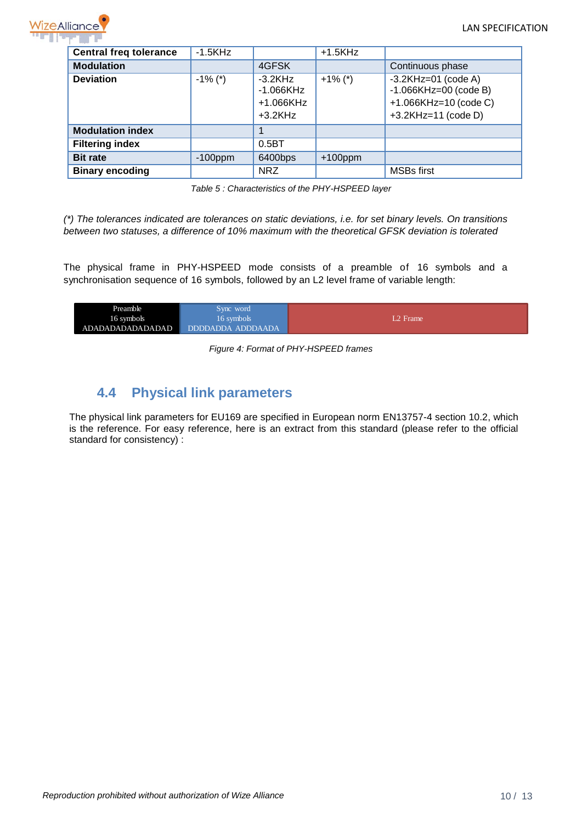

| <b>Central freq tolerance</b> | $-1.5KHz$  |                                                     | $+1.5KHz$  |                                                                                                        |  |
|-------------------------------|------------|-----------------------------------------------------|------------|--------------------------------------------------------------------------------------------------------|--|
| <b>Modulation</b>             |            | 4GFSK                                               |            | Continuous phase                                                                                       |  |
| <b>Deviation</b>              | $-1\%$ (*) | $-3.2KHz$<br>$-1.066KHz$<br>+1.066KHz<br>$+3.2$ KHz | $+1\%$ (*) | $-3.2$ KHz=01 (code A)<br>$-1.066KHz = 00$ (code B)<br>+1.066KHz=10 (code C)<br>$+3.2$ KHz=11 (code D) |  |
| <b>Modulation index</b>       |            |                                                     |            |                                                                                                        |  |
| <b>Filtering index</b>        |            | $0.5B$ T                                            |            |                                                                                                        |  |
| <b>Bit rate</b>               | $-100$ ppm | 6400bps                                             | $+100$ ppm |                                                                                                        |  |
| <b>Binary encoding</b>        |            | <b>NRZ</b>                                          |            | <b>MSBs first</b>                                                                                      |  |

*Table 5 : Characteristics of the PHY-HSPEED layer*

<span id="page-9-2"></span>*(\*) The tolerances indicated are tolerances on static deviations, i.e. for set binary levels. On transitions between two statuses, a difference of 10% maximum with the theoretical GFSK deviation is tolerated*

The physical frame in PHY-HSPEED mode consists of a preamble of 16 symbols and a synchronisation sequence of 16 symbols, followed by an L2 level frame of variable length:

<span id="page-9-1"></span>

| Preamble         | Sync word         |         |
|------------------|-------------------|---------|
| 16 symbols       | 16 symbols        | 2 Frame |
| ADADADADADADADAD | DDDDADDA ADDDAADA |         |

*Figure 4: Format of PHY-HSPEED frames*

### **4.4 Physical link parameters**

<span id="page-9-0"></span>The physical link parameters for EU169 are specified in European norm EN13757-4 section 10.2, which is the reference. For easy reference, here is an extract from this standard (please refer to the official standard for consistency) :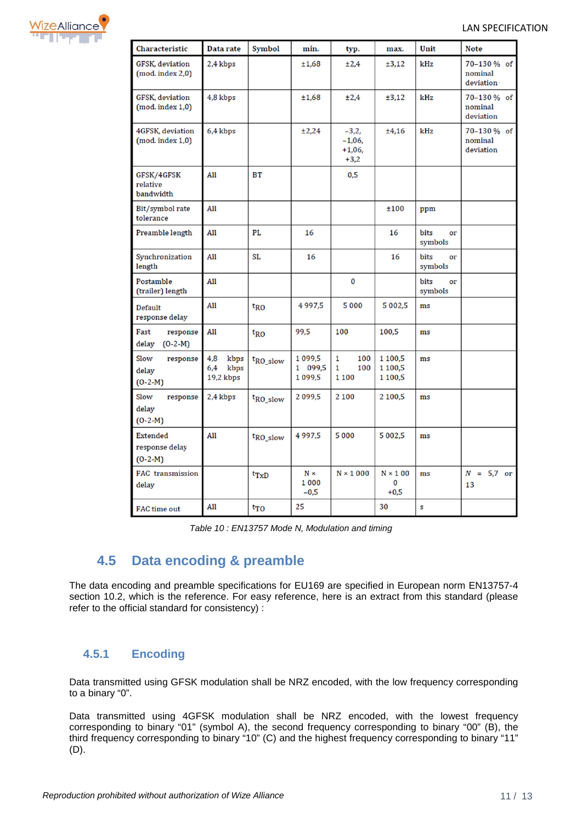

| Characteristic                                 | Data rate                               | <b>Symbol</b><br>mín. |                                 | typ.                                       | max.                          | Unit                  | <b>Note</b>                         |  |
|------------------------------------------------|-----------------------------------------|-----------------------|---------------------------------|--------------------------------------------|-------------------------------|-----------------------|-------------------------------------|--|
| <b>GFSK, deviation</b><br>(mod. index 2,0)     | 2,4 kbps                                |                       | ±1,68                           | ±2,4                                       | ±3,12                         | kHz                   | 70-130% of<br>nominal<br>deviation  |  |
| <b>GFSK, deviation</b><br>$(mod. 1,0)$         | 4,8 kbps                                |                       | ±1,68                           | ±2,4                                       | ±3,12                         | kHz                   | 70-130 % of<br>nominal<br>deviation |  |
| 4GFSK, deviation<br>$(mod. index 1,0)$         | 6,4 kbps                                |                       | ±2,24                           | $-3,2,$<br>$-1,06,$<br>$+1,06,$<br>$+3,2$  | ±4,16                         | kHz                   | 70-130% of<br>nominal<br>deviation  |  |
| GFSK/4GFSK<br>relative<br>bandwidth            | All                                     | <b>BT</b>             |                                 | 0,5                                        |                               |                       |                                     |  |
| Bit/symbol rate<br>tolerance                   | All                                     |                       |                                 |                                            | ±100                          | ppm                   |                                     |  |
| Preamble length                                | All                                     | PL                    | 16                              |                                            | 16                            | bits<br>or<br>symbols |                                     |  |
| Synchronization<br>length                      | All                                     | <b>SL</b>             | 16                              |                                            | 16                            | bits<br>or<br>symbols |                                     |  |
| Postamble<br>(trailer) length                  | All                                     |                       |                                 | 0                                          |                               | bits<br>or<br>symbols |                                     |  |
| Default<br>response delay                      | All                                     | $t_{RO}$              | 4997,5                          | 5000                                       | 5 002,5                       | ms                    |                                     |  |
| Fast<br>response<br>$(O-2-M)$<br>delay         | All                                     | $t_{RO}$              | 99,5                            | 100                                        | 100,5                         | ms                    |                                     |  |
| Slow<br>response<br>delay<br>$(O-2-M)$         | kbps<br>4,8<br>kbps<br>6,4<br>19,2 kbps | $t_{RO\_slow}$        | 1099,5<br>1 099,5<br>1 0 9 9, 5 | $\mathbf{1}$<br>100<br>1<br>100<br>1 1 0 0 | 1 100,5<br>1 100,5<br>1 100,5 | ms                    |                                     |  |
| Slow<br>response<br>delay<br>$(O-2-M)$         | 2,4 kbps                                | t <sub>RO_slow</sub>  | 2099.5                          | 2 1 0 0                                    | 2 100.5                       | ms                    |                                     |  |
| <b>Extended</b><br>response delay<br>$(0-2-M)$ | All                                     | t <sub>RO_slow</sub>  | 4997,5                          | 5 000                                      | 5 002,5                       | ms                    |                                     |  |
| FAC transmission<br>delay                      |                                         | $t_{TxD}$             | $N \times$<br>1 000<br>$-0,5$   | $N \times 1000$                            | $N \times 100$<br>0<br>$+0,5$ | ms                    | $= 5.7$ or<br>N<br>13               |  |
| <b>FAC</b> time out                            | All                                     | $tr_{0}$              | 25                              |                                            | 30                            | S                     |                                     |  |

| Table 10: EN13757 Mode N, Modulation and timing |  |
|-------------------------------------------------|--|
|-------------------------------------------------|--|

# **4.5 Data encoding & preamble**

<span id="page-10-0"></span>The data encoding and preamble specifications for EU169 are specified in European norm EN13757-4 section 10.2, which is the reference. For easy reference, here is an extract from this standard (please refer to the official standard for consistency) :

#### <span id="page-10-1"></span>**4.5.1 Encoding**

Data transmitted using GFSK modulation shall be NRZ encoded, with the low frequency corresponding to a binary "0".

Data transmitted using 4GFSK modulation shall be NRZ encoded, with the lowest frequency corresponding to binary "01" (symbol A), the second frequency corresponding to binary "00" (B), the third frequency corresponding to binary "10" (C) and the highest frequency corresponding to binary "11" (D).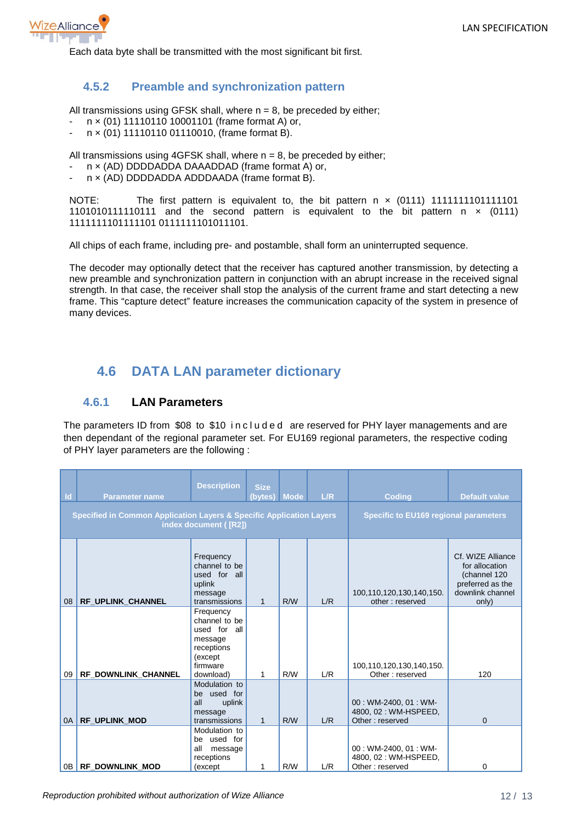

Each data byte shall be transmitted with the most significant bit first.

#### <span id="page-11-0"></span>**4.5.2 Preamble and synchronization pattern**

All transmissions using GFSK shall, where  $n = 8$ , be preceded by either;

- n x (01) 11110110 10001101 (frame format A) or,
- $n \times (01)$  11110110 01110010, (frame format B).

All transmissions using  $4GFSK$  shall, where  $n = 8$ , be preceded by either;

- n x (AD) DDDDADDA DAAADDAD (frame format A) or,
- n x (AD) DDDDADDA ADDDAADA (frame format B).

NOTE: The first pattern is equivalent to, the bit pattern  $x$  (0111) 11111111111111111101 1101010111110111 and the second pattern is equivalent to the bit pattern  $n \times (0111)$ 1111111101111101 0111111101011101.

All chips of each frame, including pre- and postamble, shall form an uninterrupted sequence.

The decoder may optionally detect that the receiver has captured another transmission, by detecting a new preamble and synchronization pattern in conjunction with an abrupt increase in the received signal strength. In that case, the receiver shall stop the analysis of the current frame and start detecting a new frame. This "capture detect" feature increases the communication capacity of the system in presence of many devices.

### <span id="page-11-1"></span>**4.6 DATA LAN parameter dictionary**

#### <span id="page-11-2"></span>**4.6.1 LAN Parameters**

The parameters ID from \$08 to \$10 included are reserved for PHY layer managements and are then dependant of the regional parameter set. For EU169 regional parameters, the respective coding of PHY layer parameters are the following :

| <b>Description</b><br>$\mathsf{Id}$<br><b>Parameter name</b><br><b>Specified in Common Application Layers &amp; Specific Application Layers</b><br>index document ([R2]) |                      |                                                                                                         | <b>Size</b><br>(bytes) Mode |     | L/R | <b>Coding</b><br><b>Specific to EU169 regional parameters</b>    | <b>Default value</b>                                                                                 |
|--------------------------------------------------------------------------------------------------------------------------------------------------------------------------|----------------------|---------------------------------------------------------------------------------------------------------|-----------------------------|-----|-----|------------------------------------------------------------------|------------------------------------------------------------------------------------------------------|
| 08                                                                                                                                                                       | RF UPLINK CHANNEL    | Frequency<br>channel to be<br>used for all<br>uplink<br>message<br>transmissions                        | $\mathbf{1}$                | R/W | L/R | 100,110,120,130,140,150.<br>other: reserved                      | Cf. WIZE Alliance<br>for allocation<br>(channel 120<br>preferred as the<br>downlink channel<br>only) |
| 09                                                                                                                                                                       | RF DOWNLINK CHANNEL  | Frequency<br>channel to be<br>used for all<br>message<br>receptions<br>(except<br>firmware<br>download) | 1                           | R/W | L/R | 100,110,120,130,140,150.<br>Other: reserved                      | 120                                                                                                  |
| 0A                                                                                                                                                                       | <b>RF UPLINK MOD</b> | Modulation to<br>be used for<br>all<br>uplink<br>message<br>transmissions                               | $\mathbf{1}$                | R/W | L/R | 00: WM-2400, 01: WM-<br>4800, 02: WM-HSPEED,<br>Other: reserved  | $\Omega$                                                                                             |
|                                                                                                                                                                          | 0B RF DOWNLINK MOD   | Modulation to<br>be used for<br>all<br>message<br>receptions<br>(except)                                | 1                           | R/W | L/R | 00: WM-2400, 01: WM-<br>4800, 02 : WM-HSPEED,<br>Other: reserved | $\Omega$                                                                                             |